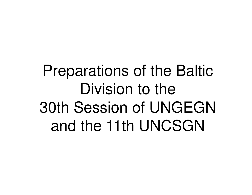Preparations of the Baltic Division to the 30th Session of UNGEGN and the 11th UNCSGN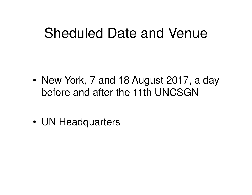#### Sheduled Date and Venue

- • New York, 7 and 18 August 2017, a day before and after the 11th UNCSGN
- •UN Headquarters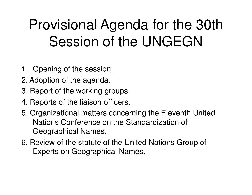# Provisional Agenda for the 30th Session of the UNGEGN

- 1. Opening of the session.
- 2. Adoption of the agenda.
- 3. Report of the working groups.
- 4. Reports of the liaison officers.
- 5. Organizational matters concerning the Eleventh United Nations Conference on the Standardization of Geographical Names.
- 6. Review of the statute of the United Nations Group of Experts on Geographical Names.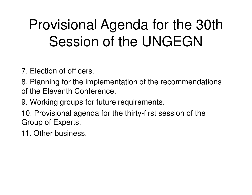# Provisional Agenda for the 30th Session of the UNGEGN

7. Election of officers.

8. Planning for the implementation of the recommendations of the Eleventh Conference.

9. Working groups for future requirements.

10. Provisional agenda for the thirty-first session of the Group of Experts.

11. Other business.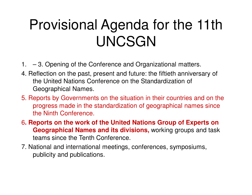- 1. 3. Opening of the Conference and Organizational matters.
- 4. Reflection on the past, present and future: the fiftieth anniversary of the United Nations Conference on the Standardization of Geographical Names.
- 5. Reports by Governments on the situation in their countries and on the progress made in the standardization of geographical names since the Ninth Conference.
- 6**. Reports on the work of the United Nations Group of Experts on Geographical Names and its divisions,** working groups and task teams since the Tenth Conference.
- 7. National and international meetings, conferences, symposiums, publicity and publications.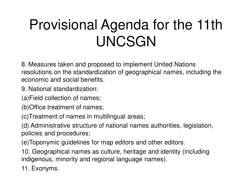8. Measures taken and proposed to implement United Nations resolutions on the standardization of geographical names, including the economic and social benefits.

9. National standardization:

(a)Field collection of names;

(b)Office treatment of names;

(c)Treatment of names in multilingual areas;

(d) Administrative structure of national names authorities, legislation, policies and procedures;

(e)Toponymic guidelines for map editors and other editors.

10. Geographical names as culture, heritage and identity (including indigenous, minority and regional language names).

11. Exonyms.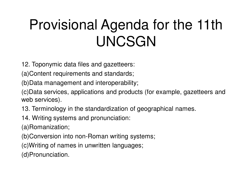12. Toponymic data files and gazetteers:

(a)Content requirements and standards;

(b)Data management and interoperability;

(c)Data services, applications and products (for example, gazetteers and web services).

13. Terminology in the standardization of geographical names.

14. Writing systems and pronunciation:

(a)Romanization;

(b)Conversion into non-Roman writing systems;

(c)Writing of names in unwritten languages;

(d)Pronunciation.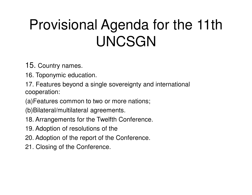15. Country names.

16. Toponymic education.

17. Features beyond a single sovereignty and international cooperation:

(a)Features common to two or more nations;

(b)Bilateral/multilateral agreements.

- 18. Arrangements for the Twelfth Conference.
- 19. Adoption of resolutions of the
- 20. Adoption of the report of the Conference.
- 21. Closing of the Conference.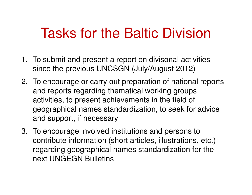#### Tasks for the Baltic Division

- 1. To submit and present a report on divisonal activities since the previous UNCSGN (July/August 2012)
- 2. To encourage or carry out preparation of national reports and reports regarding thematical working groups activities, to present achievements in the field of geographical names standardization, to seek for advice and support, if necessary
- 3. To encourage involved institutions and persons to contribute information (short articles, illustrations, etc.) regarding geographical names standardization for the next UNGEGN Bulletins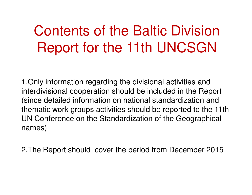#### Contents of the Baltic Division Report for the 11th UNCSGN

1.Only information regarding the divisional activities and interdivisional cooperation should be included in the Report (since detailed information on national standardization and thematic work groups activities should be reported to the 11th UN Conference on the Standardization of the Geographical names)

2.The Report should cover the period from December 2015